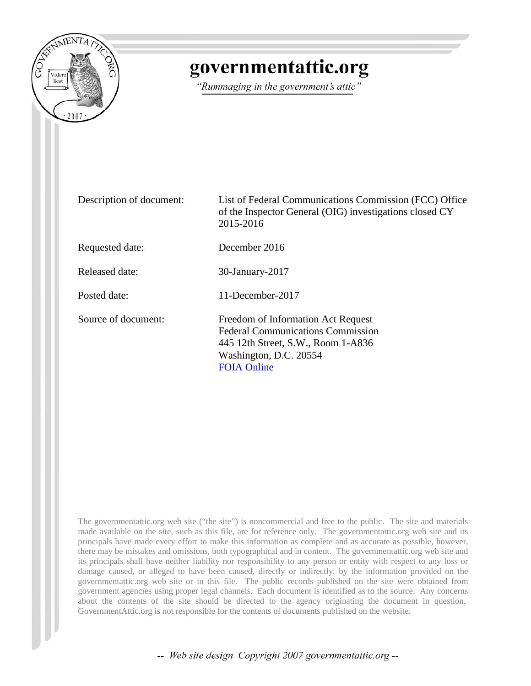

# governmentattic.org

"Rummaging in the government's attic"

| Description of document: | List of Federal Communications Commission (FCC) Office<br>of the Inspector General (OIG) investigations closed CY<br>2015-2016                                       |
|--------------------------|----------------------------------------------------------------------------------------------------------------------------------------------------------------------|
| Requested date:          | December 2016                                                                                                                                                        |
| Released date:           | 30-January-2017                                                                                                                                                      |
| Posted date:             | 11-December-2017                                                                                                                                                     |
| Source of document:      | Freedom of Information Act Request<br><b>Federal Communications Commission</b><br>445 12th Street, S.W., Room 1-A836<br>Washington, D.C. 20554<br><b>FOIA Online</b> |

The governmentattic.org web site ("the site") is noncommercial and free to the public. The site and materials made available on the site, such as this file, are for reference only. The governmentattic.org web site and its principals have made every effort to make this information as complete and as accurate as possible, however, there may be mistakes and omissions, both typographical and in content. The governmentattic.org web site and its principals shall have neither liability nor responsibility to any person or entity with respect to any loss or damage caused, or alleged to have been caused, directly or indirectly, by the information provided on the governmentattic.org web site or in this file. The public records published on the site were obtained from government agencies using proper legal channels. Each document is identified as to the source. Any concerns about the contents of the site should be directed to the agency originating the document in question. GovernmentAttic.org is not responsible for the contents of documents published on the website.

-- Web site design Copyright 2007 governmentattic.org --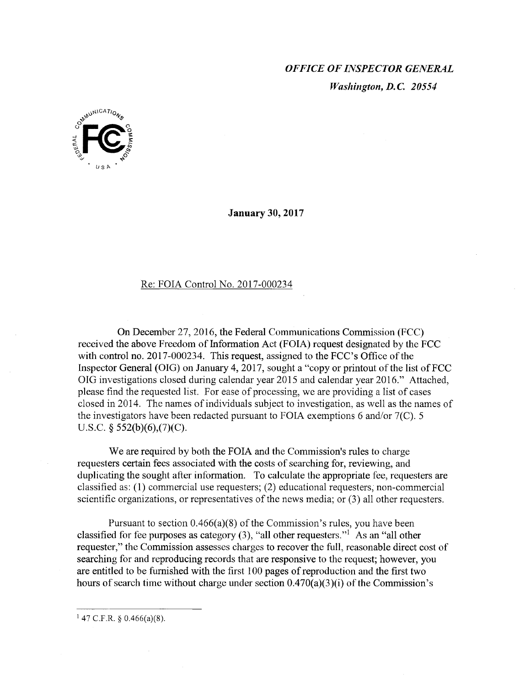### *OFFICE OF INSPECTOR GENERAL Washington, D.C 20554*



**January 30, 2017** 

#### Re: FOIA Control No. 2017-000234

On December 27, 2016, the Federal Communications Commission (FCC) received the above Freedom of Information Act (FOIA) request designated by the FCC with control no. 2017-000234. This request, assigned to the FCC's Office of the Inspector General (OIG) on January 4, 2017, sought a "copy or printout of the list of FCC OIG investigations closed during calendar year 2015 and calendar year 2016." Attached, please find the requested list. For ease of processing, we are providing a list of cases closed in 2014. The names of individuals subject to investigation, as well as the names of the investigators have been redacted pursuant to FOIA exemptions 6 and/or 7(C). 5 U.S.C. § 552(b)(6),(7)(C).

We are required by both the FOIA and the Commission's rules to charge requesters certain fees associated with the costs of searching for, reviewing, and duplicating the sought after information. To calculate the appropriate fee, requesters are classified as: (1) commercial use requesters; (2) educational requesters; non-commercial scientific organizations, or representatives of the news media; or (3) all other requesters.

Pursuant to section 0.466(a)(8) of the Commission's rules, you have been classified for fee purposes as category  $(3)$ , "all other requesters."<sup>1</sup> As an "all other requester," the Commission assesses charges to recover the full, reasonable direct cost of searching for and reproducing records that are responsive to the request; however, you are entitled to be furnished with the first 100 pages of reproduction and the first two hours of search time without charge under section 0.470(a)(3)(i) of the Commission's

 $147$  C.F.R. § 0.466(a)(8).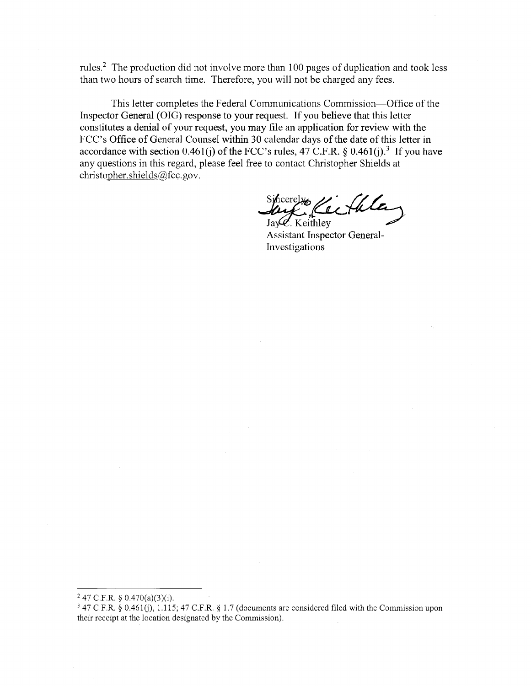rules.2 The production did not involve more than 100 pages of duplication and took less than two hours of search time. Therefore, you will not be charged any fees.

This letter completes the Federal Communications Commission-Office of the Inspector General (OIG) response to your request. If you believe that this letter constitutes a denial of your request, you may file an application for review with the FCC's Office of General Counsel within 30 calendar days of the date of this letter in accordance with section 0.461(j) of the FCC's rules, 47 C.F.R. § 0.461(j).<sup>3</sup> If you have any questions in this regard, please feel free to contact Christopher Shields at christopher.shields@fcc.gov.

Sincerelyon Cectula

**Assistant Inspector General-**Investigations

 $247$  C.F.R. § 0.470(a)(3)(i).

 $347$  C.F.R.  $\hat{g}$  0.461(j), 1.115; 47 C.F.R.  $\hat{g}$  1.7 (documents are considered filed with the Commission upon their receipt at the location designated by the Commission).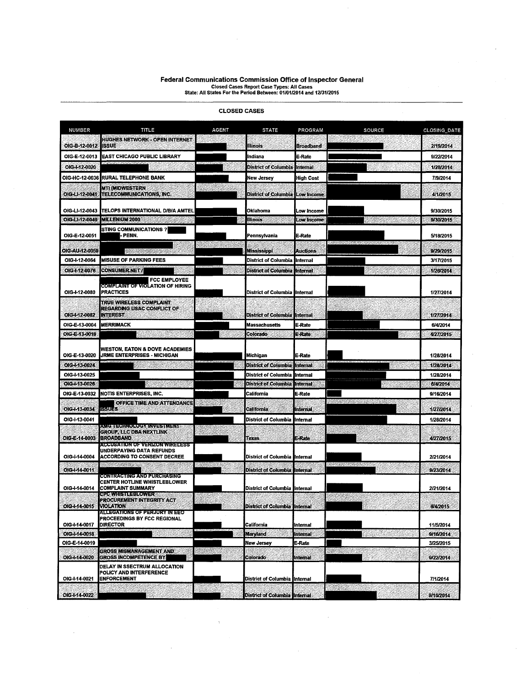## **Federal Communications Commission Office of Inspector General**  Closed Cases Report Case Types: All Cases State: All States For the Period Between: 01/01/2014 and 12/31/2015

| <b>NUMBER</b>         | TITLE                                                                                            | AGENT             | <b>STATE</b>                           | PROGRAM              | <b>SOURCE</b>                | CLOSING DATE           |
|-----------------------|--------------------------------------------------------------------------------------------------|-------------------|----------------------------------------|----------------------|------------------------------|------------------------|
| OIG-B-12-0012         | <b>HUGHES NETWORK - OPEN INTERNET</b><br><b>ISSUE</b>                                            |                   | Illinois                               | Broadband            |                              | 2/19/2014              |
| OIG-E-12-0013         | IEAST CHICAGO PUBLIC LIBRARY                                                                     |                   | Indiana                                | E-Rate               |                              | 9/22/2014              |
| OIG-1-12-0020         |                                                                                                  |                   | <b>District of Columbia</b>            | Internal             |                              | 1/28/2014              |
| OIG-HC-12-0036        | <b>RURAL TELEPHONE BANK</b>                                                                      |                   | New Jersey                             | <b>High Cost</b>     |                              | 7/9/2014               |
| OIG-LI-12-0041        | MTI (MIDWESTERN<br>TELECOMMUNICATIONS, INC.                                                      |                   | District of Columbia                   | Low Income           |                              | 4/1/2015               |
| OIG-LI-12-0043        | TELOPS INTERNATIONAL D/B/A AMTEL                                                                 |                   | Oklahoma                               | Low Income           |                              | 9/30/2015              |
| OIG-LI-12-0049        | <b>MILLENIUM 2000</b>                                                                            |                   | llinois                                | Low Income           |                              | 9/30/2015              |
| OIG-E-12-0051         | <b>STING COMMUNICATIONS ?</b><br>- PENN.                                                         |                   | Pennsvivania                           | E-Rate               |                              | 5/18/2015              |
| <b>OIG-AU-12-0059</b> |                                                                                                  | <u> Contegers</u> | Mississippi                            | <b>Auctions</b>      |                              | 9/29/2015              |
| OIG-I-12-0064         | <b>MISUSE OF PARKING FEES</b>                                                                    |                   | District of Columbia                   | Internal             |                              | 3/17/2015              |
| OIG-1-12-0076         | <b>CONSUMER.NET/</b>                                                                             |                   | District of Columbia                   | <b>Internal</b>      |                              | 1/26/2014              |
| OIG-1-12-0080         | <b>FCC EMPLOYEE</b><br>COMPLAINT OF VIOLATION OF HIRING<br><b>PRACTICES</b>                      |                   |                                        |                      |                              | 1/27/2014              |
|                       | TRUE WIRELESS COMPLAINT                                                                          |                   | District of Columbia linternal         |                      |                              |                        |
| OIG-1-12-0082         | <b>REGARDING USAC CONFLICT OF</b><br><b>INTEREST</b>                                             |                   | District of Columbia <b>I</b> Internal |                      |                              | 1/27/2014              |
| OIG-E-13-0004         | <b>MERRIMACK</b>                                                                                 |                   | <b>Massachusetts</b>                   | E-Rate               |                              | 6/4/2014               |
| OIG-E-13-0018         |                                                                                                  |                   | Colorado                               | E-Rate               |                              | 4/27/2015              |
| OIG-E-13-0020         | WESTON, EATON & DOVE ACADEMIES<br>JRME ENTERPRISES - MICHIGAN                                    |                   | <b>Michigan</b>                        | E-Rate               |                              | 1/28/2014              |
| OIG-1-13-0024         |                                                                                                  |                   | <b>District of Columbia</b>            | Internal             |                              | 1/28/2014              |
| OIG-I-13-0025         |                                                                                                  |                   | District of Columbia                   | Internal             |                              | 1/28/2014              |
| OIG-1-13-0026         |                                                                                                  |                   | <b>District of Columbia</b>            | Internal             |                              | 6/4/2014               |
| OIG-E-13-0032         | <b>NOTIS ENTERPRISES, INC.</b>                                                                   |                   | California                             | E-Rate               |                              | 9/16/2014              |
| OIG4-13-0034          | OFFICE TIME AND ATTENDANCE<br>1990-R                                                             |                   | California                             | internal             |                              | 1/27/2014              |
| OIG-1-13-0041         | <u>AMSTESHNOROSYNNYESIMENI R</u>                                                                 |                   | District of Columbia linternal         |                      |                              | 1/28/2014              |
| OIG-E-14-0003         | <b>GROUP, LLC DBA NEXTLINK</b><br><b>BROADBAND</b>                                               | かいびん              | Texas                                  | E-Rate               |                              | 4/27/2015              |
| OIG-I-14-0004         | <b>ACCUSATION OF VERIZON WIRELESS</b><br>UNDERPAYING DATA REFUNDS<br>ACCORDING TO CONSENT DECREE |                   | District of Columbia linternal         |                      |                              | 2/21/2014              |
| OIG-1-14-0011         |                                                                                                  | a katika T        | District of Columbia Internal          |                      | <u> Merupatèn Padro</u> k Ka | 9/23/2014              |
| OIG-1-14-0014         | CONTRACTING AND PURCHASING<br>CENTER HOTLINE WHISTLEBLOWER<br>COMPLAINT SUMMARY                  |                   | District of Columbia linternal         |                      |                              | 2/21/2014              |
|                       | <b>MASA TELEVISION AND ALL AND AND ALL AND ARTICLE CONTRACTOR</b><br>PROCUREMENT INTEGRITY ACT   |                   |                                        |                      |                              |                        |
| OIG-1-14-0015         | <b>VIOLATION</b><br><b>ALLEGATIONS OF PERJURY IN EEO</b>                                         |                   | District of Columbia                   | <b>BURGLER</b>       |                              | 6/4/2015               |
| OIG-1-14-0017         | <b>PROCEEDINGS BY FCC REGIONAL</b><br><b>DIRECTOR</b>                                            |                   | California                             |                      |                              |                        |
| OIG-I-14-0018         |                                                                                                  |                   | <b>Maryland</b>                        | Internal<br>Internal |                              | 11/5/2014<br>9/16/2014 |
| OIG-E-14-0019         |                                                                                                  |                   | <b>New Jersey</b>                      | E-Rate               |                              | 3/25/2015              |
| OIG-1-14-0020         | <b>GROSS MISMANAGEMENT AND</b><br><b>GROSS INCOMPETENCE BY</b>                                   |                   | Colorado                               | Internal             | 23                           | 9/22/2014              |
| OIG-I-14-0021         | DELAY IN SSECTRUM ALLOCATION<br>POLICY AND INTERFERENCE<br><b>ENFORCEMENT</b>                    |                   | District of Columbia Internal          |                      |                              | 7/1/2014               |
| OIG-1-14-0022         |                                                                                                  |                   | <b>District of Columbia linternal</b>  |                      |                              | 9/16/2014              |

 $\bar{\chi}$ 

#### CLOSED CASES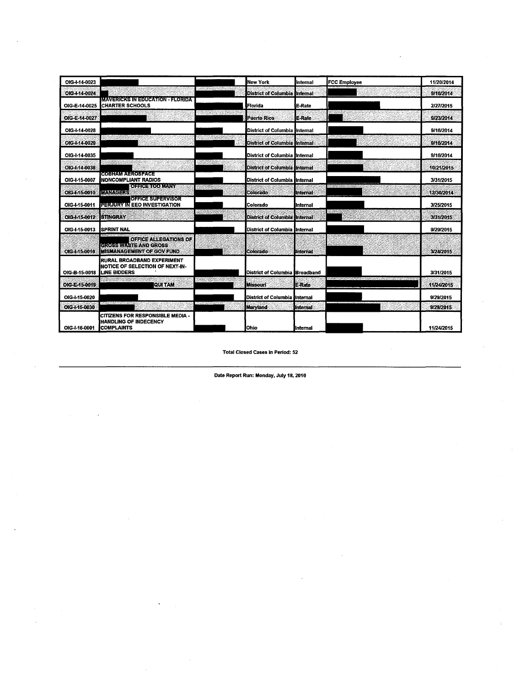| OIG-I-14-0023 |                                                                                                     |                         | New York                             | Internal        | <b>FCC Employee</b> | 11/20/2014 |
|---------------|-----------------------------------------------------------------------------------------------------|-------------------------|--------------------------------------|-----------------|---------------------|------------|
| OIG-I-14-0024 |                                                                                                     | <b>BARBARA PATPETER</b> | <b>District of Columbia</b>          | Internal        |                     | 9/16/2014  |
| OIG-E-14-0025 | <b>IMAVERICKS IN EDUCATION FLORIDA</b><br><b>CHARTER SCHOOLS</b>                                    |                         | Florida                              | E-Rate          |                     | 2/27/2015  |
| OIG-E-14-0027 |                                                                                                     | <b>BARK BARK ROOM</b>   | <b>Puerto Rico</b>                   | E-Rate          |                     | 9/23/2014  |
| OIG-1-14-0028 |                                                                                                     |                         | District of Columbia linternal       |                 |                     | 9/16/2014  |
| OIG-I-14-0029 | i se na stratu sveto                                                                                |                         | District of Columbia Internal        |                 | とうそうかい さいみんしゅう あきの  | 9/16/2014  |
| OIG-I-14-0035 |                                                                                                     |                         | District of Columbia linternal       |                 |                     | 9/16/2014  |
| OIG-I-14-0038 | <u>Terminan</u>                                                                                     | <b>SENSORIA</b>         | <b>District of Columbia Internal</b> |                 | TER DE L'ARTICIA    | 10/21/2015 |
| OIG-I-15-0007 | [어이어]/사람 사이러아이 가지에서<br>Inoncompliant radios                                                         |                         | District of Columbia Internal        |                 |                     | 3/31/2015  |
| OIG-1-15-0010 | <b>Columbia Colorado de Se</b><br><b>MANAGERS</b>                                                   |                         | Colorado                             | <b>Internal</b> | nd reaction secured | 12/30/2014 |
| OIG-I-15-0011 | OFFICE SUPERVISOR<br>PERJURY IN EEO INVESTIGATION                                                   |                         | Colorado                             | Internal        |                     | 3/25/2015  |
| OIG-1-15-0012 | <b>STINGRAY</b>                                                                                     |                         | District of Columbia Internal        |                 | 4.39.63             | 3/31/2015  |
| OIG-1-15-0013 | <b>SPRINT NAL</b>                                                                                   |                         | District of Columbia linternal       |                 |                     | 9/29/2015  |
| OIG-I-15-0016 | OFFICE ALLEGATIONS OF<br><b>GROSS WASTE AND GROSS</b><br><b>IMISMANAGEMENT OF GOV FUND.</b>         |                         | Colorado                             | <b>Unternal</b> |                     | 3/24/2015  |
| OIG-B-15-0018 | <b>RURAL BROADBAND EXPERIMENT</b><br><b>INOTICE OF SELECTION OF NEXT-IN-</b><br><b>LINE BIDDERS</b> |                         | District of Columbia Broadband       |                 |                     | 3/31/2015  |
| OIG-E-15-0019 | <b>QUI TAM</b>                                                                                      |                         | <b>Missouri</b>                      | <b>E-Rate</b>   |                     | 11/24/2015 |
| OIG-I-15-0020 |                                                                                                     |                         | District of Columbia Internal        |                 |                     | 9/29/2015  |
| OIG-1-15-0030 | A SOFERED MAIN GARAGE                                                                               | いいこということになるという          | Maryland                             | <b>Internal</b> |                     | 9/29/2015  |
| OIG-I-16-0001 | <b>CITIZENS FOR RESPONSIBLE MEDIA -</b><br><b>HANDLING OF INDECENCY</b><br><b>COMPLAINTS</b>        |                         | Ohio                                 | Internal        |                     | 11/24/2015 |

Total Closed cases in Period: 52

Date Report Run: Monday, July 18, 2016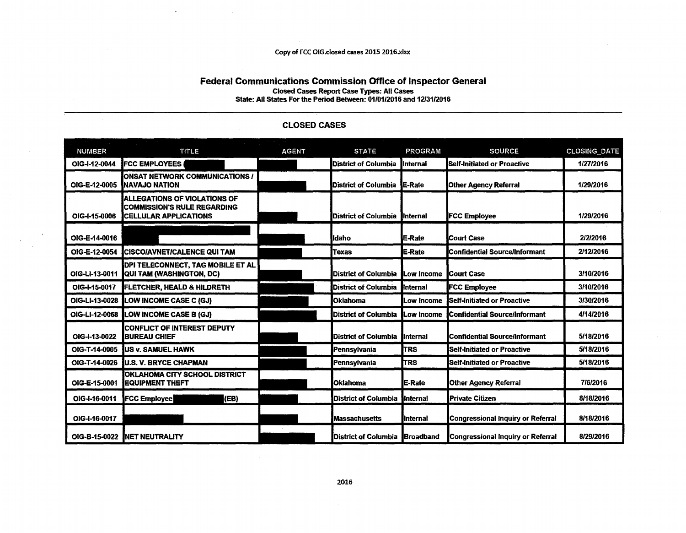#### Copy of FCC 016.closed cases 2015 2016.xlsx

#### Federal Communications Commission Office of Inspector General Closed Cases Report Case Types: All cases State: All States For the Period Between: 01/01/2016 and 12/31/2016

| <b>NUMBER</b>  | <b>TITLE</b>                                                                                          | <b>AGENT</b> | <b>STATE</b>                   | <b>PROGRAM</b>    | <b>SOURCE</b>                            | <b>CLOSING DATE</b> |
|----------------|-------------------------------------------------------------------------------------------------------|--------------|--------------------------------|-------------------|------------------------------------------|---------------------|
| OIG-I-12-0044  | <b>IFCC EMPLOYEES</b>                                                                                 |              | <b>District of Columbia</b>    | <b>Internal</b>   | Self-Initiated or Proactive              | 1/27/2016           |
| OIG-E-12-0005  | <b>ONSAT NETWORK COMMUNICATIONS /</b><br><b>INAVAJO NATION</b>                                        |              | District of Columbia E-Rate    |                   | <b>Other Agency Referral</b>             | 1/29/2016           |
| OIG-I-15-0006  | IALLEGATIONS OF VIOLATIONS OF<br><b>ICOMMISSION'S RULE REGARDING</b><br><b>ICELLULAR APPLICATIONS</b> |              | District of Columbia linternal |                   | <b>FCC Employee</b>                      | 1/29/2016           |
| OIG-E-14-0016  |                                                                                                       |              | lidaho                         | <b>E-Rate</b>     | <b>ICourt Case</b>                       | 2/2/2016            |
| OIG-E-12-0054  | <b>ICISCO/AVNET/CALENCE QUI TAM</b>                                                                   |              | <b>Texas</b>                   | E-Rate            | <b>Confidential Source/Informant</b>     | 2/12/2016           |
| OIG-LI-13-0011 | DPI TELECONNECT, TAG MOBILE ET AL<br><b>QUI TAM (WASHINGTON, DC)</b>                                  |              | <b>IDistrict of Columbia</b>   | Low Income        | <b>ICourt Case</b>                       | 3/10/2016           |
| OIG-I-15-0017  | <b>FLETCHER, HEALD &amp; HILDRETH</b>                                                                 |              | <b>District of Columbia</b>    | <b>H</b> nternal  | <b>FCC Employee</b>                      | 3/10/2016           |
| OIG-LI-13-0028 | <b>LOW INCOME CASE C (GJ)</b>                                                                         |              | <b>Oklahoma</b>                | Low Income        | <b>Self-Initiated or Proactive</b>       | 3/30/2016           |
| OIG-LI-12-0068 | <b>LOW INCOME CASE B (GJ)</b>                                                                         |              | District of Columbia           | Low Income        | <b>Confidential Source/Informant</b>     | 4/14/2016           |
| OIG-I-13-0022  | <b>CONFLICT OF INTEREST DEPUTY</b><br><b>BUREAU CHIEF</b>                                             |              | <b>District of Columbia</b>    | <b>Internal</b>   | Confidential Source/Informant            | 5/18/2016           |
| OIG-T-14-0005  | <b>IUS v. SAMUEL HAWK</b>                                                                             |              | Pennsylvania                   | <b>TRS</b>        | Self-Initiated or Proactive              | 5/18/2016           |
|                | OIG-T-14-0026 U.S. V. BRYCE CHAPMAN                                                                   |              | Pennsylvania                   | <b>T</b> rs       | <b>Self-Initiated or Proactive</b>       | 5/18/2016           |
| OIG-E-15-0001  | OKLAHOMA CITY SCHOOL DISTRICT<br><b>IEQUIPMENT THEFT</b>                                              |              | <b>Oklahoma</b>                | <b>IE-Rate</b>    | <b>Other Agency Referral</b>             | 7/6/2016            |
| OIG-I-16-0011  | (EB)<br><b>FCC Employee</b>                                                                           |              | <b>District of Columbia</b>    | <b>linternal</b>  | <b>Private Citizen</b>                   | 8/18/2016           |
| OIG-I-16-0017  |                                                                                                       |              | <b>Massachusetts</b>           | <b>I</b> Internal | <b>Congressional Inquiry or Referral</b> | 8/18/2016           |
|                | OIG-B-15-0022 INET NEUTRALITY                                                                         |              | District of Columbia Broadband |                   | Congressional Inquiry or Referral        | 8/29/2016           |

#### CLOSED CASES